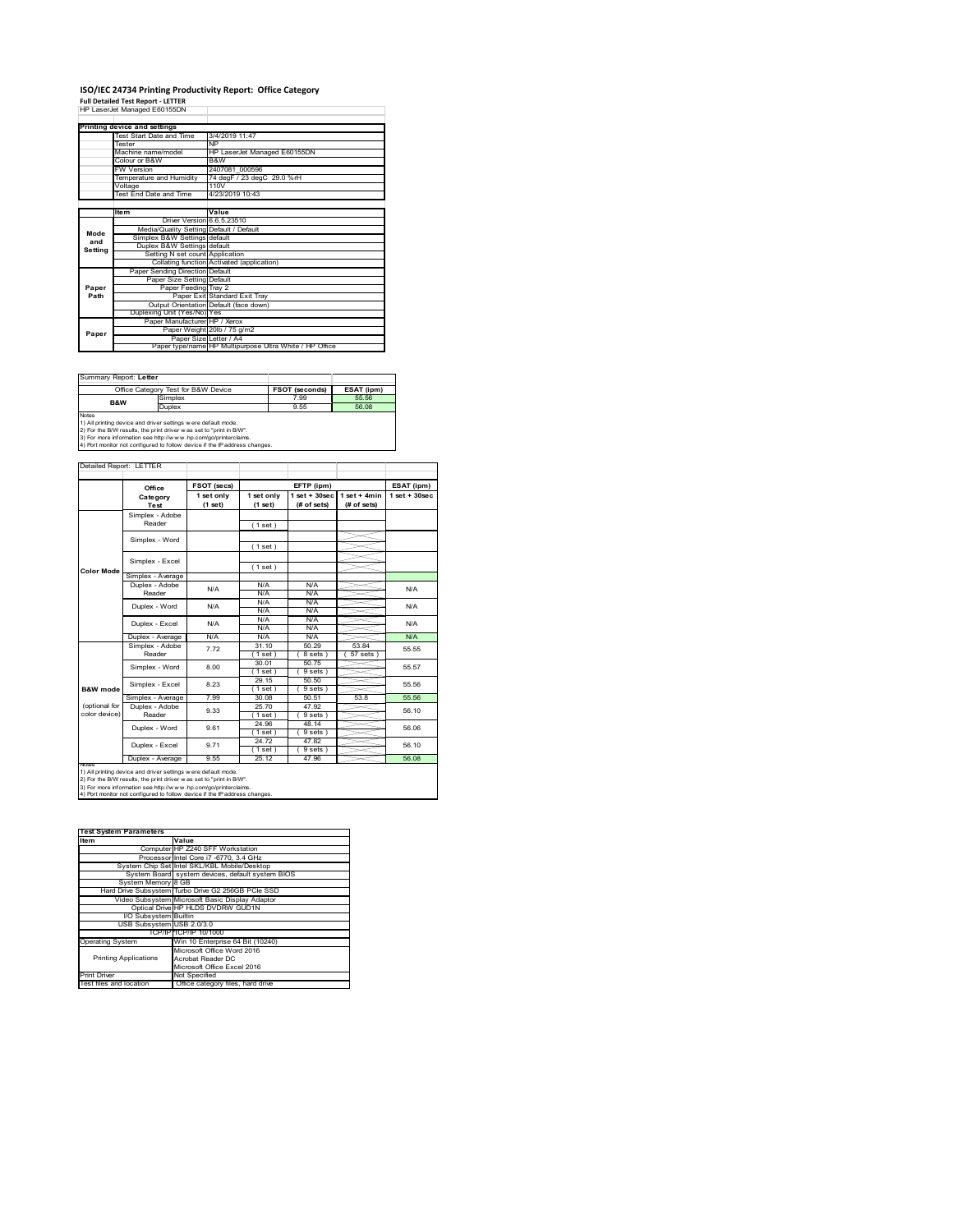## **ISO/IEC 24734 Printing Productivity Report: Office Category**

**Full Detailed Test Report ‐ LETTER** HP LaserJet Managed E60155DN

|         | Printing device and settings            |                                                         |
|---------|-----------------------------------------|---------------------------------------------------------|
|         | Test Start Date and Time                | 3/4/2019 11:47                                          |
|         | <b>Tester</b>                           | <b>NP</b>                                               |
|         | Machine name/model                      | HP LaserJet Managed E60155DN                            |
|         | Colour or B&W                           | B&W                                                     |
|         | <b>FW Version</b>                       | 2407081 000596                                          |
|         | Temperature and Humidity                | 74 degF / 23 degC 29.0 %rH                              |
|         | Voltage                                 | 110V                                                    |
|         | <b>Test End Date and Time</b>           | 4/23/2019 10:43                                         |
|         |                                         |                                                         |
|         | <b>Item</b>                             | Value                                                   |
|         | Driver Version 6.6.5.23510              |                                                         |
| Mode    | Media/Quality Setting Default / Default |                                                         |
| and     | Simplex B&W Settings default            |                                                         |
| Setting | Duplex B&W Settings default             |                                                         |
|         | Setting N set count Application         |                                                         |
|         |                                         | Collating function Activated (application)              |
|         | Paper Sending Direction Default         |                                                         |
|         | Paper Size Setting Default              |                                                         |
| Paper   | Paper Feeding Tray 2                    |                                                         |
| Path    |                                         | Paper Exit Standard Exit Trav                           |
|         |                                         | Output Orientation Default (face down)                  |
|         | Duplexing Unit (Yes/No) Yes             |                                                         |
|         | Paper Manufacturer HP / Xerox           |                                                         |
| Paper   |                                         | Paper Weight 20lb / 75 g/m2                             |
|         | Paper Size Letter / A4                  |                                                         |
|         |                                         | Paper type/name HP Multipurpose Ultra White / HP Office |

| Summary Report: Letter |                                                                                                                                                                                                                                                                                       |                       |            |
|------------------------|---------------------------------------------------------------------------------------------------------------------------------------------------------------------------------------------------------------------------------------------------------------------------------------|-----------------------|------------|
|                        | Office Category Test for B&W Device                                                                                                                                                                                                                                                   | <b>FSOT (seconds)</b> | ESAT (ipm) |
| B&W                    | Simplex                                                                                                                                                                                                                                                                               | 7.99                  | 55.56      |
|                        | Duplex                                                                                                                                                                                                                                                                                | 9.55                  | 56.08      |
| <b>Notes</b>           | 1) All printing device and driver settings were default mode.<br>2) For the B/W results, the print driver was set to "print in B/W".<br>3) For more information see http://www.hp.com/go/printerclaims.<br>4) Port monitor not configured to follow device if the IP address changes. |                       |            |

ailed Report: LETTER **FSOT (secs) ESAT (ipm) EFTP (ipm) Office 1 set + 30sec 1 set only (1 set) 1 set only (1 set) 1 set + 30sec (# of sets) 1 set + 4min (# of sets) Category Test** Simplex - Adobe Reader ( 1 set ) Simplex - Word ( 1 set ) Simplex - Excel ( 1 set ) **Color Mode** Simplex - Average Duplex - Adobe N/A  $N/f$ N/A Reader N/A N/A N/A N/A Duplex - Word N/A N/A N/A N/A<br>N/A N/A<br>N/A N/A Duplex - Excel N/A N/A Puplex - Average N/A N/A N/A N/A N/A N/A N/A<br>  $\overline{S}$  Simplex - Adobe 7.72 31.10 50.29 53.84 55.5<br>
Reader 7.72 1.1 88th 1.8 sets 5.5 sets 55.5 7.72 55.55 31.10 50.29 53.84  $(8 \text{ sets}) (57 \text{ sets})$ Simplex - Word 8.00 30.01 50.75 55.57 ( 1 set ) ( 9 sets<br>
29.15 50.50<br>
( 1 set ) ( 9 sets<br>
30.08 50.51 ( 1 set ) ( 9 sets )<br>29.15 50.50 Simplex - Excel 8.23 55.56 **B&W** mod Simplex - Average 7.99 30.08 50.51 53.8 55.56<br>
Duplex - Adobe 9.33 25.70 47.92 56.10<br>
Reader 9.33 25.70 (9 sets) 56.10 (optional for color device) 25.70 47.92<br>(1 set) (9 set) 9.33  $\frac{23.70}{(1 \text{ set})} \frac{47.32}{(9 \text{ sets})}$  56.10 24.96 48.14<br>(1 set) (9 sets)<br>24.72 47.82 Duplex - Word 9.61 56.06  $( 9 \text{ sets } )$ <br> $47.82$ ∖⊯ 9.71 56.10 Duplex - Excel 24.72 47.82 ( 1 set ) ( 9 sets ) Duplex - Average 9.55 25.12 47.96 56.08 notes<br>1) All printing device and driver settings were default mode.<br>2) For the B/W results, the print driver was set to "print in B/W".<br>3) For more information see http://www.hp.com/go/printerclaims.<br>4) Por moralitor not c

| <b>Test System Parameters</b> |                                                    |
|-------------------------------|----------------------------------------------------|
| Item                          | Value                                              |
|                               | Computer HP Z240 SFF Workstation                   |
|                               | Processor Intel Core i7 -6770, 3.4 GHz             |
|                               | System Chip Set Intel SKL/KBL Mobile/Desktop       |
|                               | System Board system devices, default system BIOS   |
| System Memory 8 GB            |                                                    |
|                               | Hard Drive Subsystem Turbo Drive G2 256GB PCle SSD |
|                               | Video Subsystem Microsoft Basic Display Adaptor    |
|                               | Optical Drive HP HLDS DVDRW GUD1N                  |
| I/O Subsystem Builtin         |                                                    |
| USB Subsystem USB 2.0/3.0     |                                                    |
|                               | TCP/IP TCP/IP 10/1000                              |
| <b>Operating System</b>       | Win 10 Enterprise 64 Bit (10240)                   |
|                               | Microsoft Office Word 2016                         |
| <b>Printing Applications</b>  | Acrobat Reader DC                                  |
|                               | Microsoft Office Excel 2016                        |
| <b>Print Driver</b>           | Not Specified                                      |
| Test files and location       | Office category files, hard drive                  |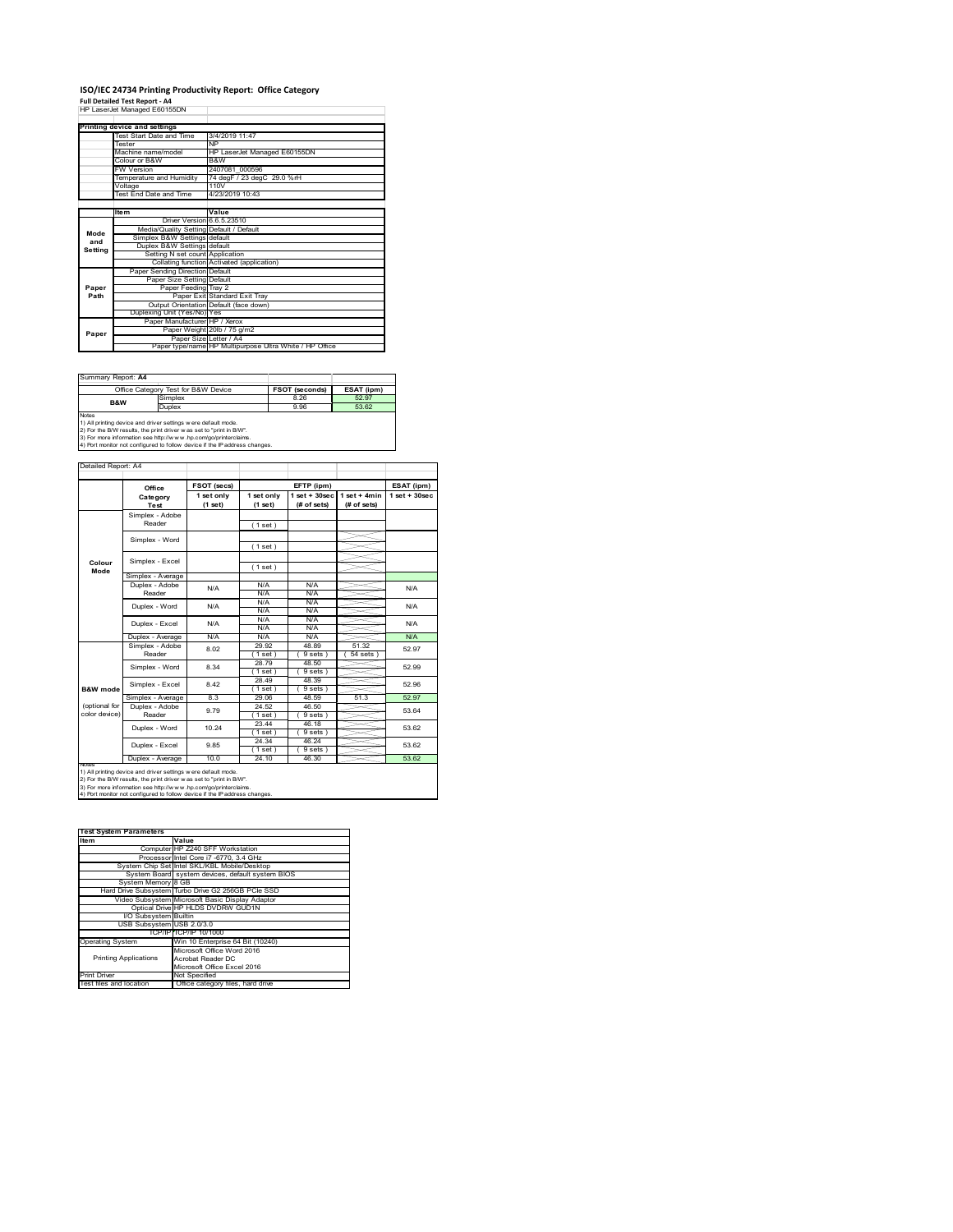### **ISO/IEC 24734 Printing Productivity Report: Office Category Full Detailed Test Report ‐ A4** HP LaserJet Managed E60155DN

|         | HP LaserJet Manageg E60 155DN           |                                                         |
|---------|-----------------------------------------|---------------------------------------------------------|
|         |                                         |                                                         |
|         | Printing device and settings            |                                                         |
|         | Test Start Date and Time                | 3/4/2019 11:47                                          |
|         | <b>Tester</b>                           | NP                                                      |
|         | Machine name/model                      | HP LaserJet Managed E60155DN                            |
|         | Colour or B&W                           | B&W                                                     |
|         | <b>FW Version</b>                       | 2407081 000596                                          |
|         | Temperature and Humidity                | 74 degF / 23 degC 29.0 %rH                              |
|         | Voltage                                 | 110V                                                    |
|         | Test End Date and Time                  | 4/23/2019 10:43                                         |
|         |                                         |                                                         |
|         | <b>Item</b>                             | Value                                                   |
|         | Driver Version 6.6.5.23510              |                                                         |
| Mode    | Media/Quality Setting Default / Default |                                                         |
| and     | Simplex B&W Settings default            |                                                         |
| Setting | Duplex B&W Settings default             |                                                         |
|         | Setting N set count Application         |                                                         |
|         |                                         | Collating function Activated (application)              |
|         | Paper Sending Direction Default         |                                                         |
|         | Paper Size Setting Default              |                                                         |
| Paper   | Paper Feeding Tray 2                    |                                                         |
| Path    |                                         | Paper Exit Standard Exit Trav                           |
|         |                                         | Output Orientation Default (face down)                  |
|         | Duplexing Unit (Yes/No) Yes             |                                                         |
|         | Paper Manufacturer HP / Xerox           |                                                         |
| Paper   |                                         | Paper Weight 20lb / 75 g/m2                             |
|         |                                         | Paper Size Letter / A4                                  |
|         |                                         | Paper type/name HP Multipurpose Ultra White / HP Office |

| Summary Report: A4                  |                                                                                                                                                                                                                                                                                       |                       |            |
|-------------------------------------|---------------------------------------------------------------------------------------------------------------------------------------------------------------------------------------------------------------------------------------------------------------------------------------|-----------------------|------------|
| Office Category Test for B&W Device |                                                                                                                                                                                                                                                                                       | <b>FSOT (seconds)</b> | ESAT (ipm) |
| <b>B&amp;W</b>                      | Simplex                                                                                                                                                                                                                                                                               | 8.26                  | 52.97      |
|                                     | Duplex                                                                                                                                                                                                                                                                                | 9.96                  | 53.62      |
| <b>Notes</b>                        | 1) All printing device and driver settings were default mode.<br>2) For the B/W results, the print driver was set to "print in B/W".<br>3) For more information see http://www.hp.com/go/printerclaims.<br>4) Port monitor not configured to follow device if the IP address changes. |                       |            |

ailed Report: A4 **FSOT** (secs) **FETP** (ipm) **ESAT** (ipm) **1 set + 30sec 1 set only (1 set) 1 set only (1 set) 1 set + 30sec (# of sets) 1 set + 4min (# of sets) Category Test** Simplex - Adobe Reader ( 1 set ) Simplex - Word ( 1 set ) Simplex - Excel ( 1 set ) **Colour Mode** Simplex - Average Duplex - Adobe  $N/f$  $N/A$   $N/A$   $N/A$   $N/A$   $N/A$ Reader N/A N/A N/A N/A N/A Duplex - Word N/A N/A N/A N/A N/A Duplex - Excel N/A N/A N/A N/.<br>N/A N/. Puplex - Average N/A N/A N/A N/A N/A N/A N/A<br>  $\overline{S}$  Simplex - Adobe 8.02 29.92 48.89 51.32 52.9 8.02 52.97 29.92 48.89 51.32  $(9 \text{ sets}) (54 \text{ sets})$ Simplex - Word 8.34 28.79 48.50 52.99 1 set) (9 set)<br>28.49 48.3<br>1 set) (9 set)<br>29.06 48.3  $( 1 \text{ set} 28.49)$ Simplex - Excel 8.42 52.96 **B&W** mod 9 sets<br>48.59 Simplex - Average 8.3 29.06 48.59 51.3 52.97<br>
Duplex - Adobe 9.79 24.52 46.50 53.64<br>
Reader 9.79 (1 set) (9 sets) 53.64 (optional for color device) 9.79 24.52 46.50<br>(1 set) (9 set) 53.64 ( 1 set ) ( 9 sets )<br>23.44 46.18 46.18 Duplex - Word 10.24 53.62  $(1 \text{ set})$ <br> $(24.34)$ <br> $(1 \text{ set})$ <br> $24.10$  $(9 \text{ sets})$ <br> $46.24$ Duplex - Excel 9.85 53.62 ≦  $\frac{1}{(9 \text{ sets})}$  46.30 Duplex - Average | 10.0 | 24.10 | 46.30 | 53.62 notes<br>1) All printing device and driver settings were default mode.<br>2) For the B/W results, the print driver was set to "print in B/W".<br>3) For more information see http://www.hp.com/go/printerclaims.<br>4) Por moralitor not c

| <b>Test System Parameters</b> |                                                    |
|-------------------------------|----------------------------------------------------|
| Item                          | Value                                              |
|                               | Computer HP Z240 SFF Workstation                   |
|                               | Processor Intel Core i7 -6770, 3.4 GHz             |
|                               | System Chip Set Intel SKL/KBL Mobile/Desktop       |
|                               | System Board system devices, default system BIOS   |
| System Memory 8 GB            |                                                    |
|                               | Hard Drive Subsystem Turbo Drive G2 256GB PCle SSD |
|                               | Video Subsystem Microsoft Basic Display Adaptor    |
|                               | Optical Drive HP HLDS DVDRW GUD1N                  |
| I/O Subsystem Builtin         |                                                    |
| USB Subsystem USB 2.0/3.0     |                                                    |
|                               | TCP/IPITCP/IP 10/1000                              |
| <b>Operating System</b>       | Win 10 Enterprise 64 Bit (10240)                   |
|                               | Microsoft Office Word 2016                         |
| <b>Printing Applications</b>  | Acrobat Reader DC                                  |
|                               | Microsoft Office Excel 2016                        |
| <b>Print Driver</b>           | Not Specified                                      |
| Test files and location       | Office category files, hard drive                  |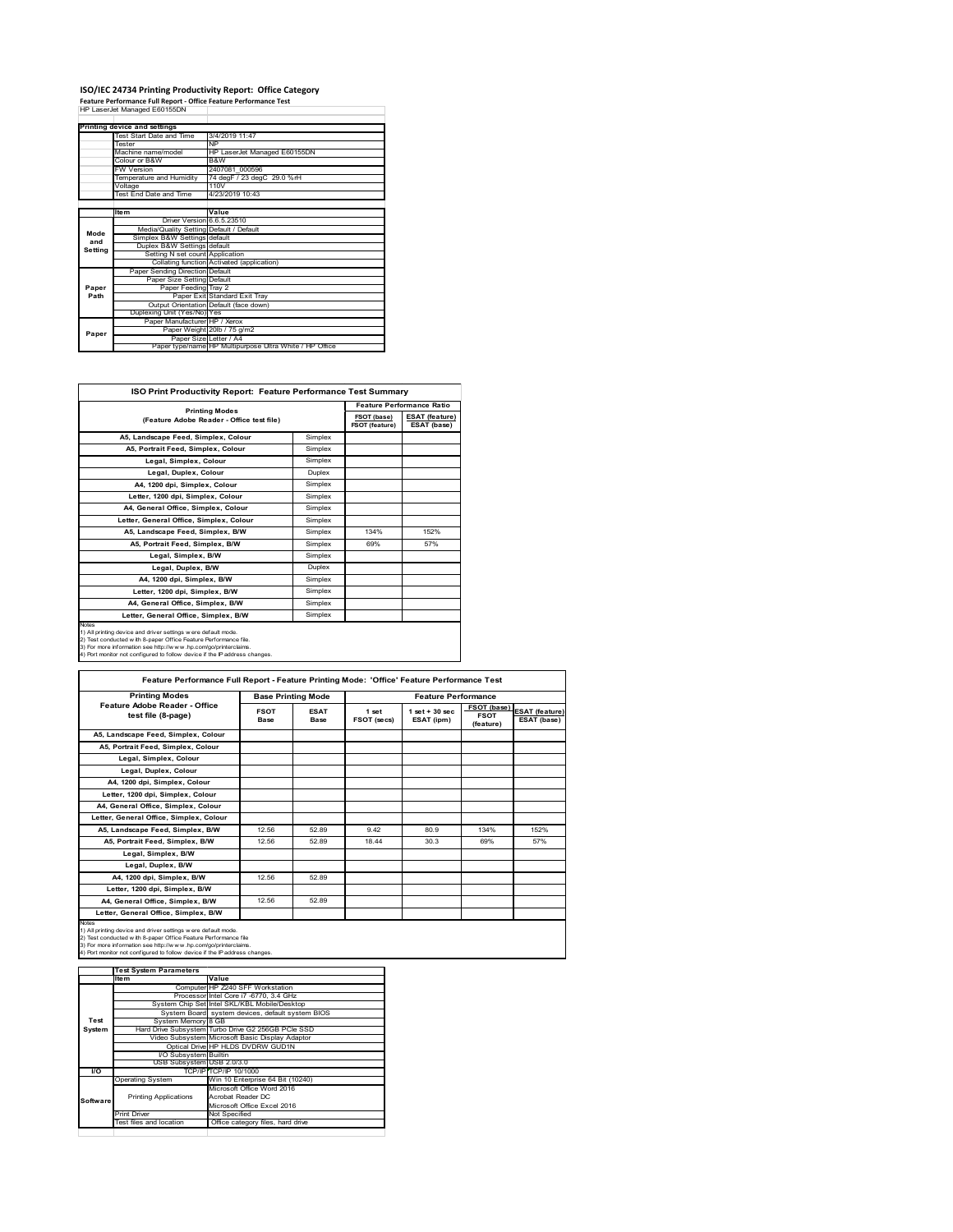# **ISO/IEC 24734 Printing Productivity Report: Office Category<br>Feature Performance Full Report - Office Feature Performance Test<br>HP LaserJet Managed E60155DN**

|         | Printing device and settings            |                                                         |
|---------|-----------------------------------------|---------------------------------------------------------|
|         | Test Start Date and Time                | 3/4/2019 11:47                                          |
|         | <b>Tester</b>                           | <b>NP</b>                                               |
|         | Machine name/model                      | HP LaserJet Managed E60155DN                            |
|         | Colour or B&W                           | B&W                                                     |
|         | <b>FW Version</b>                       | 2407081 000596                                          |
|         | Temperature and Humidity                | 74 degF / 23 degC 29.0 %rH                              |
|         | Voltage                                 | 110V                                                    |
|         | Test End Date and Time                  | 4/23/2019 10:43                                         |
|         |                                         |                                                         |
|         | <b>Item</b>                             | Value                                                   |
|         | Driver Version 6.6.5.23510              |                                                         |
| Mode    | Media/Quality Setting Default / Default |                                                         |
| and     | Simplex B&W Settings default            |                                                         |
| Setting | Duplex B&W Settings default             |                                                         |
|         | Setting N set count Application         |                                                         |
|         |                                         | Collating function Activated (application)              |
|         | Paper Sending Direction Default         |                                                         |
|         | Paper Size Setting Default              |                                                         |
| Paper   | Paper Feeding Trav 2                    |                                                         |
| Path    |                                         | Paper Exit Standard Exit Tray                           |
|         |                                         | Output Orientation Default (face down)                  |
|         | Duplexing Unit (Yes/No) Yes             |                                                         |
|         | Paper Manufacturer HP / Xerox           |                                                         |
| Paper   |                                         | Paper Weight 20lb / 75 g/m2                             |
|         | Paper Size Letter / A4                  |                                                         |
|         |                                         | Paper type/name HP Multipurpose Ultra White / HP Office |

| ISO Print Productivity Report: Feature Performance Test Summary                                                                                                                                                                                                                                   |         |                               |                                      |
|---------------------------------------------------------------------------------------------------------------------------------------------------------------------------------------------------------------------------------------------------------------------------------------------------|---------|-------------------------------|--------------------------------------|
| <b>Printing Modes</b>                                                                                                                                                                                                                                                                             |         |                               | <b>Feature Performance Ratio</b>     |
| (Feature Adobe Reader - Office test file)                                                                                                                                                                                                                                                         |         | FSOT (base)<br>FSOT (feature) | <b>ESAT (feature)</b><br>ESAT (base) |
| A5, Landscape Feed, Simplex, Colour                                                                                                                                                                                                                                                               | Simplex |                               |                                      |
| A5, Portrait Feed, Simplex, Colour                                                                                                                                                                                                                                                                | Simplex |                               |                                      |
| Legal, Simplex, Colour                                                                                                                                                                                                                                                                            | Simplex |                               |                                      |
| Legal, Duplex, Colour                                                                                                                                                                                                                                                                             | Duplex  |                               |                                      |
| A4. 1200 dpi. Simplex. Colour                                                                                                                                                                                                                                                                     | Simplex |                               |                                      |
| Letter, 1200 dpi, Simplex, Colour                                                                                                                                                                                                                                                                 | Simplex |                               |                                      |
| A4. General Office. Simplex. Colour                                                                                                                                                                                                                                                               | Simplex |                               |                                      |
| Letter, General Office, Simplex, Colour                                                                                                                                                                                                                                                           | Simplex |                               |                                      |
| A5. Landscape Feed. Simplex, B/W                                                                                                                                                                                                                                                                  | Simplex | 134%                          | 152%                                 |
| A5, Portrait Feed, Simplex, B/W                                                                                                                                                                                                                                                                   | Simplex | 69%                           | 57%                                  |
| Legal, Simplex, B/W                                                                                                                                                                                                                                                                               | Simplex |                               |                                      |
| Legal, Duplex, B/W                                                                                                                                                                                                                                                                                | Duplex  |                               |                                      |
| A4, 1200 dpi, Simplex, B/W                                                                                                                                                                                                                                                                        | Simplex |                               |                                      |
| Letter, 1200 dpi, Simplex, B/W                                                                                                                                                                                                                                                                    | Simplex |                               |                                      |
| A4, General Office, Simplex, B/W                                                                                                                                                                                                                                                                  | Simplex |                               |                                      |
| Letter, General Office, Simplex, B/W                                                                                                                                                                                                                                                              | Simplex |                               |                                      |
| <b>Notes</b><br>1) All printing device and driver settings were default mode.<br>2) Test conducted with 8-paper Office Feature Performance file.<br>3) For more information see http://www.hp.com/go/printerclaims.<br>4) Port monitor not configured to follow device if the IP address changes. |         |                               |                                      |

| <b>Printing Modes</b>                               | <b>Base Printing Mode</b> |                            | <b>Feature Performance</b> |                                 |                                                |                                      |
|-----------------------------------------------------|---------------------------|----------------------------|----------------------------|---------------------------------|------------------------------------------------|--------------------------------------|
| Feature Adobe Reader - Office<br>test file (8-page) | <b>FSOT</b><br>Base       | <b>ESAT</b><br><b>Base</b> | 1 set<br>FSOT (secs)       | $1$ set $+30$ sec<br>ESAT (ipm) | <b>FSOT</b> (base)<br><b>FSOT</b><br>(feature) | <b>ESAT</b> (feature)<br>ESAT (base) |
| A5, Landscape Feed, Simplex, Colour                 |                           |                            |                            |                                 |                                                |                                      |
| A5, Portrait Feed, Simplex, Colour                  |                           |                            |                            |                                 |                                                |                                      |
| Legal, Simplex, Colour                              |                           |                            |                            |                                 |                                                |                                      |
| Legal, Duplex, Colour                               |                           |                            |                            |                                 |                                                |                                      |
| A4. 1200 dpi. Simplex. Colour                       |                           |                            |                            |                                 |                                                |                                      |
| Letter, 1200 dpi, Simplex, Colour                   |                           |                            |                            |                                 |                                                |                                      |
| A4, General Office, Simplex, Colour                 |                           |                            |                            |                                 |                                                |                                      |
| Letter, General Office, Simplex, Colour             |                           |                            |                            |                                 |                                                |                                      |
| A5, Landscape Feed, Simplex, B/W                    | 12.56                     | 52.89                      | 9.42                       | 80.9                            | 134%                                           | 152%                                 |
| A5, Portrait Feed, Simplex, B/W                     | 12.56                     | 52.89                      | 18.44                      | 30.3                            | 69%                                            | 57%                                  |
| Legal, Simplex, B/W                                 |                           |                            |                            |                                 |                                                |                                      |
| Legal, Duplex, B/W                                  |                           |                            |                            |                                 |                                                |                                      |
| A4, 1200 dpi, Simplex, B/W                          | 12.56                     | 52.89                      |                            |                                 |                                                |                                      |
| Letter, 1200 dpi, Simplex, B/W                      |                           |                            |                            |                                 |                                                |                                      |
| A4, General Office, Simplex, B/W                    | 12.56                     | 52.89                      |                            |                                 |                                                |                                      |
| Letter, General Office, Simplex, B/W                |                           |                            |                            |                                 |                                                |                                      |

1) All printing device and driver settings were default mode.<br>2) Test conducted with 8-paper Office Feature Performance file<br>3) For more information see http://www.hp.com/go/printerclaims.<br>4) Port monitor not configured to

|           | <b>Test System Parameters</b> |                                                    |
|-----------|-------------------------------|----------------------------------------------------|
|           | Ite <sub>m</sub>              | Value                                              |
|           |                               | Computer HP Z240 SFF Workstation                   |
|           |                               | Processor Intel Core i7 -6770, 3.4 GHz             |
|           |                               | System Chip Set Intel SKL/KBL Mobile/Desktop       |
|           |                               | System Board system devices, default system BIOS   |
| Test      | System Memory 8 GB            |                                                    |
| System    |                               | Hard Drive Subsystem Turbo Drive G2 256GB PCle SSD |
|           |                               | Video Subsystem Microsoft Basic Display Adaptor    |
|           |                               | Optical Drive HP HLDS DVDRW GUD1N                  |
|           | <b>VO Subsystem Builtin</b>   |                                                    |
|           | USB Subsystem USB 2.0/3.0     |                                                    |
| <b>VO</b> |                               | TCP/IP/TCP/IP 10/1000                              |
|           | <b>Operating System</b>       | Win 10 Enterprise 64 Bit (10240)                   |
|           |                               | Microsoft Office Word 2016                         |
| Software  | <b>Printing Applications</b>  | Acrobat Reader DC                                  |
|           |                               | Microsoft Office Excel 2016                        |
|           | <b>Print Driver</b>           | Not Specified                                      |
|           | Test files and location       | Office category files, hard drive                  |
|           |                               |                                                    |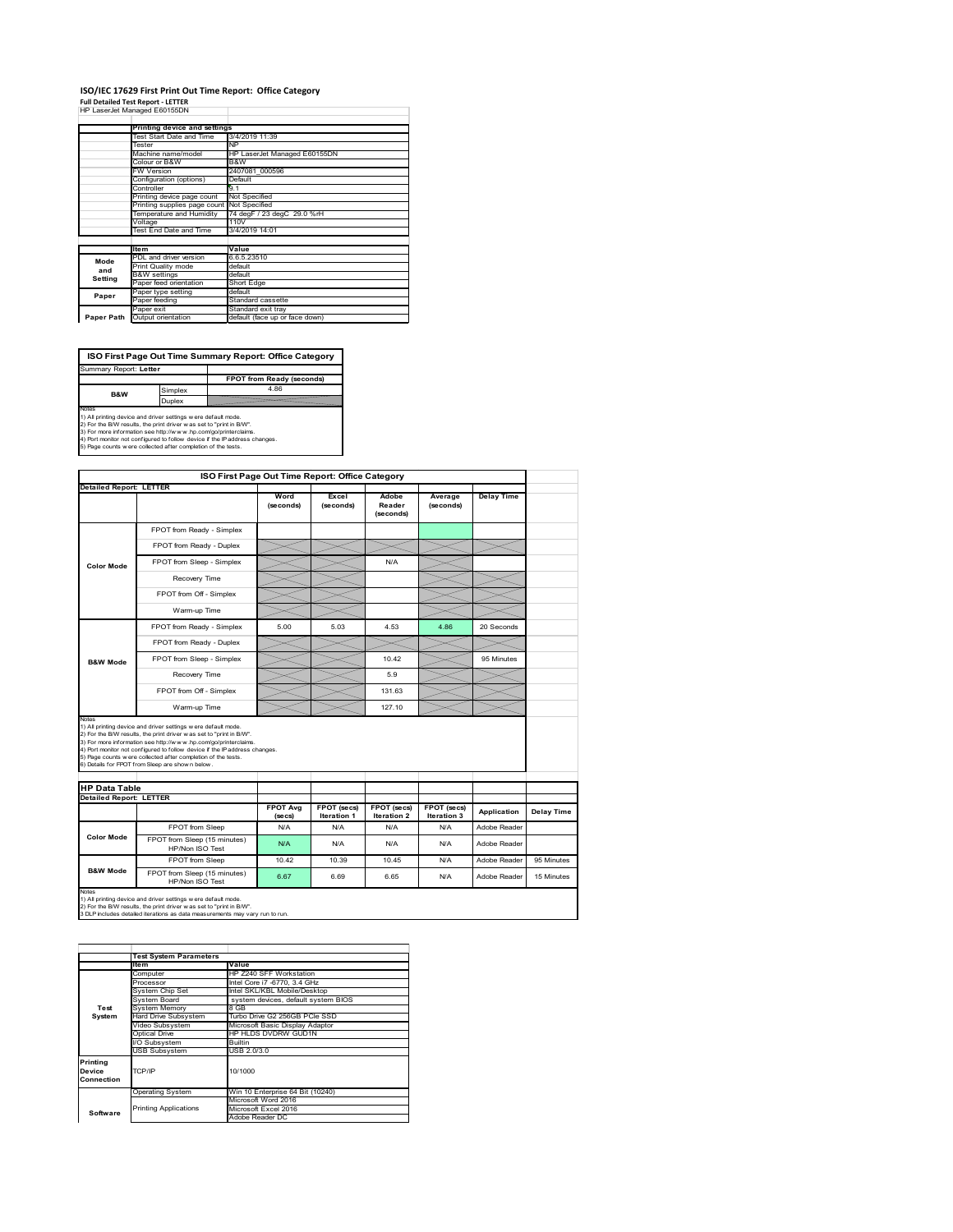### **ISO/IEC 17629 First Print Out Time Report: Office Category Full Detailed Test Report ‐ LETTER** HP LaserJet Managed E60155DN

|            | т назывы тапасы достовым                   |                                |
|------------|--------------------------------------------|--------------------------------|
|            | Printing device and settings               |                                |
|            | Test Start Date and Time                   | 3/4/2019 11:39                 |
|            | Tester                                     | <b>NP</b>                      |
|            | Machine name/model                         | HP LaserJet Managed E60155DN   |
|            | Colour or B&W                              | B&W                            |
|            | <b>FW Version</b>                          | 2407081 000596                 |
|            | Configuration (options)                    | Default                        |
|            | Controller                                 | 9.1                            |
|            | Printing device page count                 | Not Specified                  |
|            | Printing supplies page count Not Specified |                                |
|            | Temperature and Humidity                   | 74 degF / 23 degC 29.0 %rH     |
|            | Voltage                                    | 110V                           |
|            | Test End Date and Time                     | 3/4/2019 14:01                 |
|            |                                            |                                |
|            | <b>Item</b>                                | Value                          |
| Mode       | PDL and driver version                     | 6.6.5.23510                    |
| and        | Print Quality mode                         | default                        |
| Setting    | <b>B&amp;W</b> settings                    | default                        |
|            | Paper feed orientation                     | Short Edge                     |
| Paper      | Paper type setting                         | default                        |
|            | Paper feeding                              | Standard cassette              |
|            | Paper exit                                 | Standard exit tray             |
| Paper Path | Output orientation                         | default (face up or face down) |

**FPOT from Ready (seconds)**<br>
Simplex 4.86 **Duplex**<br>Notes<br>1) All printing device and driver settings were default mode.<br>2) For the BM results, the print driver was set to "print in BM".<br>4) For more information see http://www.hp.com/golprinterclaims.<br>4) Port monitor **ISO First Page Out Time Summary Report: Office Category** t: Letter **B&W**

| <b>Detailed Report: LETTER</b><br><b>Color Mode</b><br><b>B&amp;W Mode</b>                                                                          | FPOT from Ready - Simplex<br>FPOT from Ready - Duplex<br>FPOT from Sleep - Simplex<br>Recovery Time<br>FPOT from Off - Simplex<br>Warm-up Time<br>FPOT from Ready - Simplex<br>FPOT from Ready - Duplex<br>FPOT from Sleep - Simplex<br>Recovery Time                                 | Word<br>(seconds)<br>5.00  | Excel<br>(seconds)<br>5.03        | Adobe<br>Reader<br>(seconds)<br>N/A<br>4.53<br>10.42 | Average<br>(seconds)<br>4.86 | <b>Delay Time</b><br>20 Seconds<br>95 Minutes |            |
|-----------------------------------------------------------------------------------------------------------------------------------------------------|---------------------------------------------------------------------------------------------------------------------------------------------------------------------------------------------------------------------------------------------------------------------------------------|----------------------------|-----------------------------------|------------------------------------------------------|------------------------------|-----------------------------------------------|------------|
|                                                                                                                                                     |                                                                                                                                                                                                                                                                                       |                            |                                   |                                                      |                              |                                               |            |
|                                                                                                                                                     |                                                                                                                                                                                                                                                                                       |                            |                                   |                                                      |                              |                                               |            |
|                                                                                                                                                     |                                                                                                                                                                                                                                                                                       |                            |                                   |                                                      |                              |                                               |            |
|                                                                                                                                                     |                                                                                                                                                                                                                                                                                       |                            |                                   |                                                      |                              |                                               |            |
|                                                                                                                                                     |                                                                                                                                                                                                                                                                                       |                            |                                   |                                                      |                              |                                               |            |
|                                                                                                                                                     |                                                                                                                                                                                                                                                                                       |                            |                                   |                                                      |                              |                                               |            |
|                                                                                                                                                     |                                                                                                                                                                                                                                                                                       |                            |                                   |                                                      |                              |                                               |            |
|                                                                                                                                                     |                                                                                                                                                                                                                                                                                       |                            |                                   |                                                      |                              |                                               |            |
|                                                                                                                                                     |                                                                                                                                                                                                                                                                                       |                            |                                   |                                                      |                              |                                               |            |
|                                                                                                                                                     |                                                                                                                                                                                                                                                                                       |                            |                                   |                                                      |                              |                                               |            |
|                                                                                                                                                     |                                                                                                                                                                                                                                                                                       |                            |                                   | 5.9                                                  |                              |                                               |            |
|                                                                                                                                                     | FPOT from Off - Simplex                                                                                                                                                                                                                                                               |                            |                                   | 131.63                                               |                              |                                               |            |
|                                                                                                                                                     | Warm-up Time                                                                                                                                                                                                                                                                          |                            |                                   | 127.10                                               |                              |                                               |            |
| Notes<br>1) All printing device and driver settings w ere default mode.<br>6) Details for FPOT from Sleep are show n below.<br><b>HP Data Table</b> | 2) For the B/W results, the print driver was set to "print in B/W".<br>3) For more information see http://www.hp.com/go/printerclaims.<br>4) Port monitor not configured to follow device if the IP address changes.<br>5) Page counts w ere collected after completion of the tests. |                            |                                   |                                                      |                              |                                               |            |
| <b>Detailed Report: LETTER</b>                                                                                                                      |                                                                                                                                                                                                                                                                                       |                            |                                   |                                                      |                              |                                               |            |
|                                                                                                                                                     |                                                                                                                                                                                                                                                                                       | <b>FPOT Avg</b><br>(se cs) | FPOT (secs)<br><b>Iteration 1</b> | FPOT (secs)<br><b>Iteration 2</b>                    | FPOT (secs)<br>Iteration 3   | Application                                   | Delay Time |
|                                                                                                                                                     | FPOT from Sleep                                                                                                                                                                                                                                                                       | N/A                        | N/A                               | N/A                                                  | N/A                          | Adobe Reader                                  |            |
| <b>Color Mode</b>                                                                                                                                   | FPOT from Sleep (15 minutes)<br>HP/Non ISO Test                                                                                                                                                                                                                                       | N/A                        | N/A                               | N/A                                                  | N/A                          | Adobe Reader                                  |            |
|                                                                                                                                                     | FPOT from Sleep                                                                                                                                                                                                                                                                       | 10.42                      | 10.39                             | 10.45                                                | N/A                          | Adobe Reader                                  | 95 Minutes |
| <b>B&amp;W Mode</b>                                                                                                                                 | FPOT from Sleep (15 minutes)<br>HP/Non ISO Test                                                                                                                                                                                                                                       | 6.67                       | 6.69                              | 6.65                                                 | N/A                          | Adobe Reader                                  | 15 Minutes |

1) All printing device and driver settings w ere default mode.<br>2) For the B/W results, the print driver w as set to "print in B/W".<br>3 DLP includes detailed iterations as data measurements may vary run to run.

|            | <b>Test System Parameters</b> |                                     |  |  |  |
|------------|-------------------------------|-------------------------------------|--|--|--|
|            | Item                          | Value                               |  |  |  |
|            | Computer                      | HP Z240 SFF Workstation             |  |  |  |
|            | Processor                     | Intel Core i7 -6770, 3.4 GHz        |  |  |  |
|            | System Chip Set               | Intel SKL/KBL Mobile/Desktop        |  |  |  |
|            | System Board                  | system devices, default system BIOS |  |  |  |
| Test       | <b>System Memory</b>          | 8 GB                                |  |  |  |
| System     | Hard Drive Subsystem          | Turbo Drive G2 256GB PCle SSD       |  |  |  |
|            | Video Subsystem               | Microsoft Basic Display Adaptor     |  |  |  |
|            | Optical Drive                 | HP HLDS DVDRW GUD1N                 |  |  |  |
|            | I/O Subsystem                 | Builtin                             |  |  |  |
|            | <b>USB Subsystem</b>          | USB 2.0/3.0                         |  |  |  |
| Printing   |                               |                                     |  |  |  |
| Device     | TCP/IP                        | 10/1000                             |  |  |  |
| Connection |                               |                                     |  |  |  |
|            |                               |                                     |  |  |  |
|            | <b>Operating System</b>       | Win 10 Enterprise 64 Bit (10240)    |  |  |  |
|            |                               | Microsoft Word 2016                 |  |  |  |
| Software   | <b>Printing Applications</b>  | Microsoft Excel 2016                |  |  |  |
|            |                               | Adobe Reader DC                     |  |  |  |